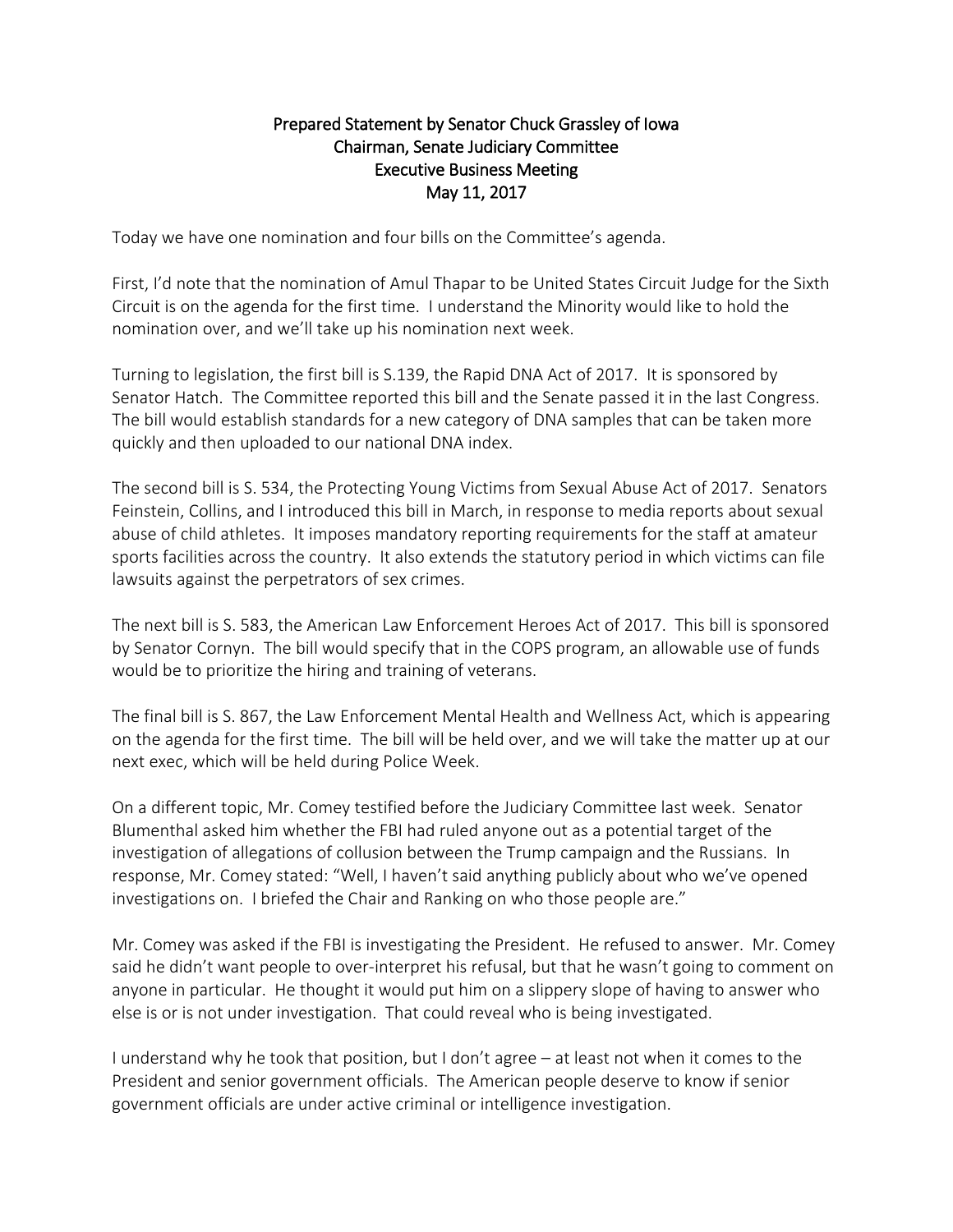## Prepared Statement by Senator Chuck Grassley of Iowa Chairman, Senate Judiciary Committee Executive Business Meeting May 11, 2017

Today we have one nomination and four bills on the Committee's agenda.

First, I'd note that the nomination of Amul Thapar to be United States Circuit Judge for the Sixth Circuit is on the agenda for the first time. I understand the Minority would like to hold the nomination over, and we'll take up his nomination next week.

Turning to legislation, the first bill is S.139, the Rapid DNA Act of 2017. It is sponsored by Senator Hatch. The Committee reported this bill and the Senate passed it in the last Congress. The bill would establish standards for a new category of DNA samples that can be taken more quickly and then uploaded to our national DNA index.

The second bill is S. 534, the Protecting Young Victims from Sexual Abuse Act of 2017. Senators Feinstein, Collins, and I introduced this bill in March, in response to media reports about sexual abuse of child athletes. It imposes mandatory reporting requirements for the staff at amateur sports facilities across the country. It also extends the statutory period in which victims can file lawsuits against the perpetrators of sex crimes.

The next bill is S. 583, the American Law Enforcement Heroes Act of 2017. This bill is sponsored by Senator Cornyn. The bill would specify that in the COPS program, an allowable use of funds would be to prioritize the hiring and training of veterans.

The final bill is S. 867, the Law Enforcement Mental Health and Wellness Act, which is appearing on the agenda for the first time. The bill will be held over, and we will take the matter up at our next exec, which will be held during Police Week.

On a different topic, Mr. Comey testified before the Judiciary Committee last week. Senator Blumenthal asked him whether the FBI had ruled anyone out as a potential target of the investigation of allegations of collusion between the Trump campaign and the Russians. In response, Mr. Comey stated: "Well, I haven't said anything publicly about who we've opened investigations on. I briefed the Chair and Ranking on who those people are."

Mr. Comey was asked if the FBI is investigating the President. He refused to answer. Mr. Comey said he didn't want people to over-interpret his refusal, but that he wasn't going to comment on anyone in particular. He thought it would put him on a slippery slope of having to answer who else is or is not under investigation. That could reveal who is being investigated.

I understand why he took that position, but I don't agree – at least not when it comes to the President and senior government officials. The American people deserve to know if senior government officials are under active criminal or intelligence investigation.